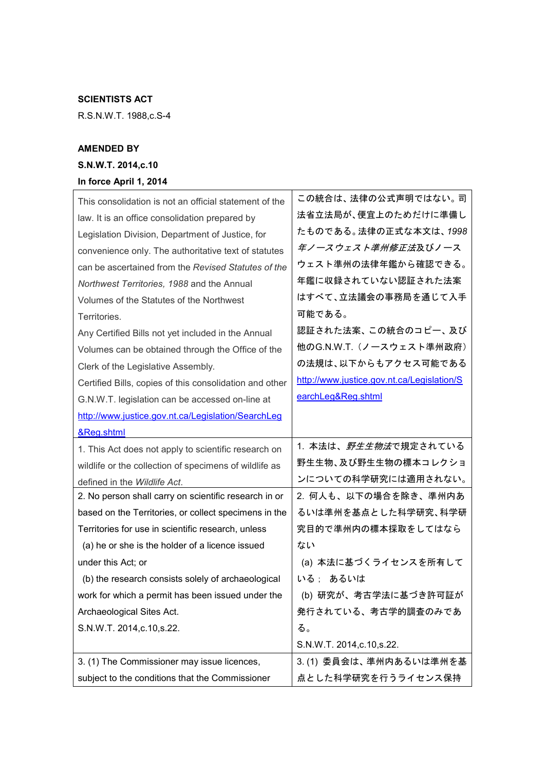## SCIENTISTS ACT

R.S.N.W.T. 1988,c.S-4

## AMENDED BY

## S.N.W.T. 2014,c.10

## In force April 1, 2014

| This consolidation is not an official statement of the  | この統合は、法律の公式声明ではない。司                        |
|---------------------------------------------------------|--------------------------------------------|
| law. It is an office consolidation prepared by          | 法省立法局が、便宜上のためだけに準備し                        |
| Legislation Division, Department of Justice, for        | たものである。法律の正式な本文は、1998                      |
| convenience only. The authoritative text of statutes    | 年ノースウェスト準州修正法及びノース                         |
| can be ascertained from the Revised Statutes of the     | ウェスト準州の法律年鑑から確認できる。                        |
| Northwest Territories, 1988 and the Annual              | 年鑑に収録されていない認証された法案                         |
| Volumes of the Statutes of the Northwest                | はすべて、立法議会の事務局を通じて入手                        |
| Territories.                                            | 可能である。                                     |
| Any Certified Bills not yet included in the Annual      | 認証された法案、この統合のコピー、及び                        |
| Volumes can be obtained through the Office of the       | 他のG.N.W.T. (ノースウェスト準州政府)                   |
| Clerk of the Legislative Assembly.                      | の法規は、以下からもアクセス可能である                        |
| Certified Bills, copies of this consolidation and other | http://www.justice.gov.nt.ca/Legislation/S |
| G.N.W.T. legislation can be accessed on-line at         | earchLeg&Reg.shtml                         |
| http://www.justice.gov.nt.ca/Legislation/SearchLeg      |                                            |
| &Reg.shtml                                              |                                            |
|                                                         |                                            |
| 1. This Act does not apply to scientific research on    | 1. 本法は、 <i>野生生物法</i> で規定されている              |
| wildlife or the collection of specimens of wildlife as  | 野生生物、及び野生生物の標本コレクショ                        |
| defined in the Wildlife Act.                            | ンについての科学研究には適用されない。                        |
| 2. No person shall carry on scientific research in or   | 2. 何人も、以下の場合を除き、準州内あ                       |
| based on the Territories, or collect specimens in the   | るいは準州を基点とした科学研究、科学研                        |
| Territories for use in scientific research, unless      | 究目的で準州内の標本採取をしてはなら                         |
| (a) he or she is the holder of a licence issued         | ない                                         |
| under this Act; or                                      | (a) 本法に基づくライセンスを所有して                       |
| (b) the research consists solely of archaeological      | いる; あるいは                                   |
| work for which a permit has been issued under the       | (b) 研究が、考古学法に基づき許可証が                       |
| Archaeological Sites Act.                               | 発行されている、考古学的調査のみであ                         |
| S.N.W.T. 2014, c. 10, s. 22.                            | る。                                         |
|                                                         | S.N.W.T. 2014, c. 10, s. 22.               |
| 3. (1) The Commissioner may issue licences,             | 3. (1) 委員会は、準州内あるいは準州を基                    |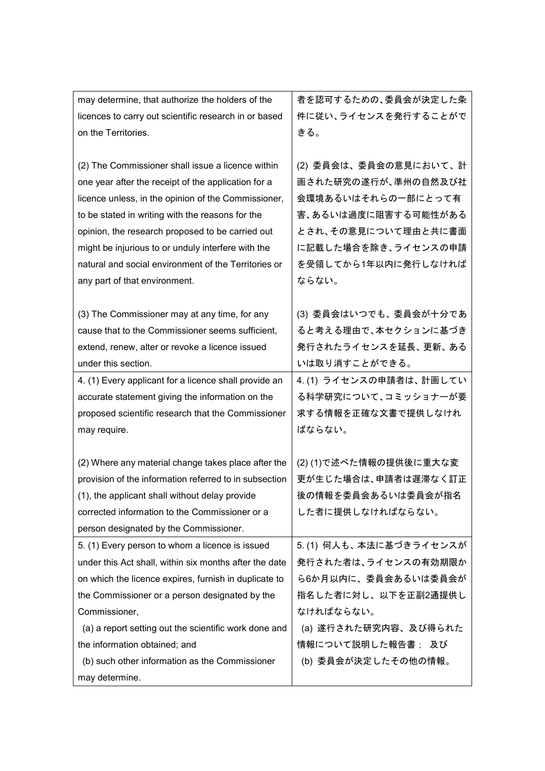| may determine, that authorize the holders of the       | 者を認可するための、委員会が決定した条      |
|--------------------------------------------------------|--------------------------|
| licences to carry out scientific research in or based  | 件に従い、ライセンスを発行することがで      |
| on the Territories.                                    | きる。                      |
|                                                        |                          |
| (2) The Commissioner shall issue a licence within      | (2) 委員会は、委員会の意見において、計    |
| one year after the receipt of the application for a    | 画された研究の遂行が、準州の自然及び社      |
| licence unless, in the opinion of the Commissioner,    | 会環境あるいはそれらの一部にとって有       |
| to be stated in writing with the reasons for the       | 害、あるいは過度に阻害する可能性がある      |
| opinion, the research proposed to be carried out       | とされ、その意見について理由と共に書面      |
| might be injurious to or unduly interfere with the     | に記載した場合を除き、ライセンスの申請      |
| natural and social environment of the Territories or   | を受領してから1年以内に発行しなければ      |
| any part of that environment.                          | ならない。                    |
|                                                        |                          |
| (3) The Commissioner may at any time, for any          | (3) 委員会はいつでも、委員会が十分であ    |
| cause that to the Commissioner seems sufficient,       | ると考える理由で、本セクションに基づき      |
| extend, renew, alter or revoke a licence issued        | 発行されたライセンスを延長、更新、ある      |
| under this section.                                    | いは取り消すことができる。            |
| 4. (1) Every applicant for a licence shall provide an  | 4. (1) ライセンスの申請者は、計画してい  |
| accurate statement giving the information on the       | る科学研究について、コミッショナーが要      |
| proposed scientific research that the Commissioner     | 求する情報を正確な文書で提供しなけれ       |
| may require.                                           | ばならない。                   |
|                                                        |                          |
| (2) Where any material change takes place after the    | (2)(1)で述べた情報の提供後に重大な変    |
| provision of the information referred to in subsection | 更が生じた場合は、申請者は遅滞なく訂正      |
| (1), the applicant shall without delay provide         | 後の情報を委員会あるいは委員会が指名       |
| corrected information to the Commissioner or a         | した者に提供しなければならない。         |
| person designated by the Commissioner.                 |                          |
| 5. (1) Every person to whom a licence is issued        | 5. (1) 何人も、 本法に基づきライセンスが |
| under this Act shall, within six months after the date | 発行された者は、ライセンスの有効期限か      |
| on which the licence expires, furnish in duplicate to  | ら6か月以内に、委員会あるいは委員会が      |
| the Commissioner or a person designated by the         | 指名した者に対し、以下を正副2通提供し      |
| Commissioner,                                          | なければならない。                |
| (a) a report setting out the scientific work done and  | (a) 遂行された研究内容、及び得られた     |
| the information obtained; and                          | 情報について説明した報告書; 及び        |
| (b) such other information as the Commissioner         | (b) 委員会が決定したその他の情報。      |
| may determine.                                         |                          |